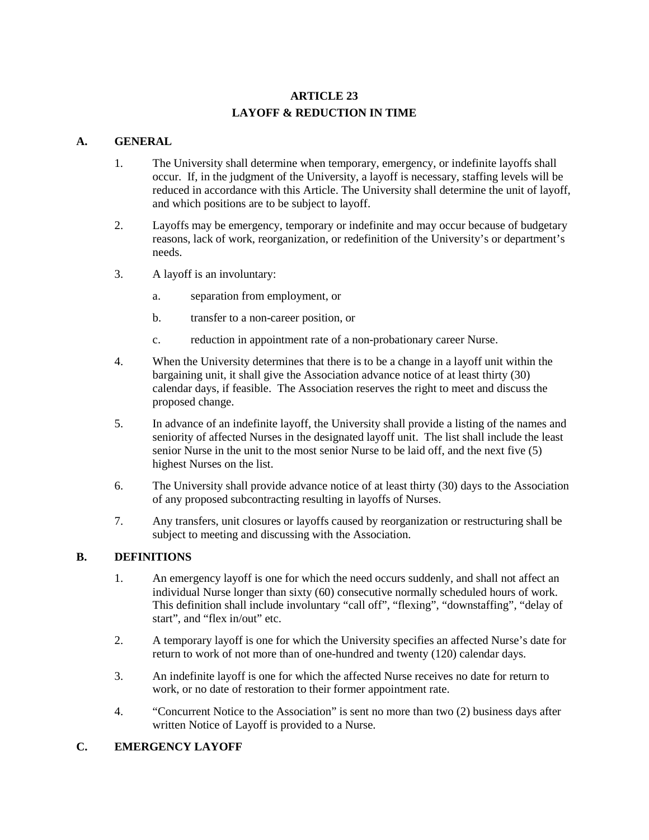# **ARTICLE 23 LAYOFF & REDUCTION IN TIME**

### **A. GENERAL**

- 1. The University shall determine when temporary, emergency, or indefinite layoffs shall occur. If, in the judgment of the University, a layoff is necessary, staffing levels will be reduced in accordance with this Article. The University shall determine the unit of layoff, and which positions are to be subject to layoff.
- 2. Layoffs may be emergency, temporary or indefinite and may occur because of budgetary reasons, lack of work, reorganization, or redefinition of the University's or department's needs.
- 3. A layoff is an involuntary:
	- a. separation from employment, or
	- b. transfer to a non-career position, or
	- c. reduction in appointment rate of a non-probationary career Nurse.
- 4. When the University determines that there is to be a change in a layoff unit within the bargaining unit, it shall give the Association advance notice of at least thirty (30) calendar days, if feasible. The Association reserves the right to meet and discuss the proposed change.
- 5. In advance of an indefinite layoff, the University shall provide a listing of the names and seniority of affected Nurses in the designated layoff unit. The list shall include the least senior Nurse in the unit to the most senior Nurse to be laid off, and the next five (5) highest Nurses on the list.
- 6. The University shall provide advance notice of at least thirty (30) days to the Association of any proposed subcontracting resulting in layoffs of Nurses.
- 7. Any transfers, unit closures or layoffs caused by reorganization or restructuring shall be subject to meeting and discussing with the Association.

# **B. DEFINITIONS**

- 1. An emergency layoff is one for which the need occurs suddenly, and shall not affect an individual Nurse longer than sixty (60) consecutive normally scheduled hours of work. This definition shall include involuntary "call off", "flexing", "downstaffing", "delay of start", and "flex in/out" etc.
- 2. A temporary layoff is one for which the University specifies an affected Nurse's date for return to work of not more than of one-hundred and twenty (120) calendar days.
- 3. An indefinite layoff is one for which the affected Nurse receives no date for return to work, or no date of restoration to their former appointment rate.
- 4. "Concurrent Notice to the Association" is sent no more than two (2) business days after written Notice of Layoff is provided to a Nurse.

# **C. EMERGENCY LAYOFF**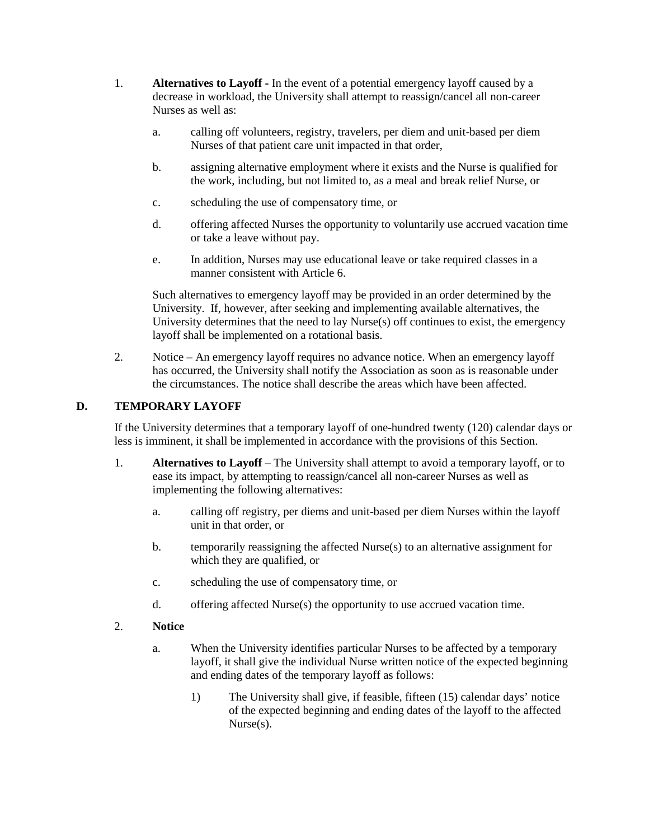- 1. **Alternatives to Layoff -** In the event of a potential emergency layoff caused by a decrease in workload, the University shall attempt to reassign/cancel all non-career Nurses as well as:
	- a. calling off volunteers, registry, travelers, per diem and unit-based per diem Nurses of that patient care unit impacted in that order,
	- b. assigning alternative employment where it exists and the Nurse is qualified for the work, including, but not limited to, as a meal and break relief Nurse, or
	- c. scheduling the use of compensatory time, or
	- d. offering affected Nurses the opportunity to voluntarily use accrued vacation time or take a leave without pay.
	- e. In addition, Nurses may use educational leave or take required classes in a manner consistent with Article 6.

Such alternatives to emergency layoff may be provided in an order determined by the University. If, however, after seeking and implementing available alternatives, the University determines that the need to lay Nurse(s) off continues to exist, the emergency layoff shall be implemented on a rotational basis.

2. Notice – An emergency layoff requires no advance notice. When an emergency layoff has occurred, the University shall notify the Association as soon as is reasonable under the circumstances. The notice shall describe the areas which have been affected.

### **D. TEMPORARY LAYOFF**

If the University determines that a temporary layoff of one-hundred twenty (120) calendar days or less is imminent, it shall be implemented in accordance with the provisions of this Section.

- 1. **Alternatives to Layoff** The University shall attempt to avoid a temporary layoff, or to ease its impact, by attempting to reassign/cancel all non-career Nurses as well as implementing the following alternatives:
	- a. calling off registry, per diems and unit-based per diem Nurses within the layoff unit in that order, or
	- b. temporarily reassigning the affected Nurse(s) to an alternative assignment for which they are qualified, or
	- c. scheduling the use of compensatory time, or
	- d. offering affected Nurse(s) the opportunity to use accrued vacation time.
- 2. **Notice**
	- a. When the University identifies particular Nurses to be affected by a temporary layoff, it shall give the individual Nurse written notice of the expected beginning and ending dates of the temporary layoff as follows:
		- 1) The University shall give, if feasible, fifteen (15) calendar days' notice of the expected beginning and ending dates of the layoff to the affected Nurse(s).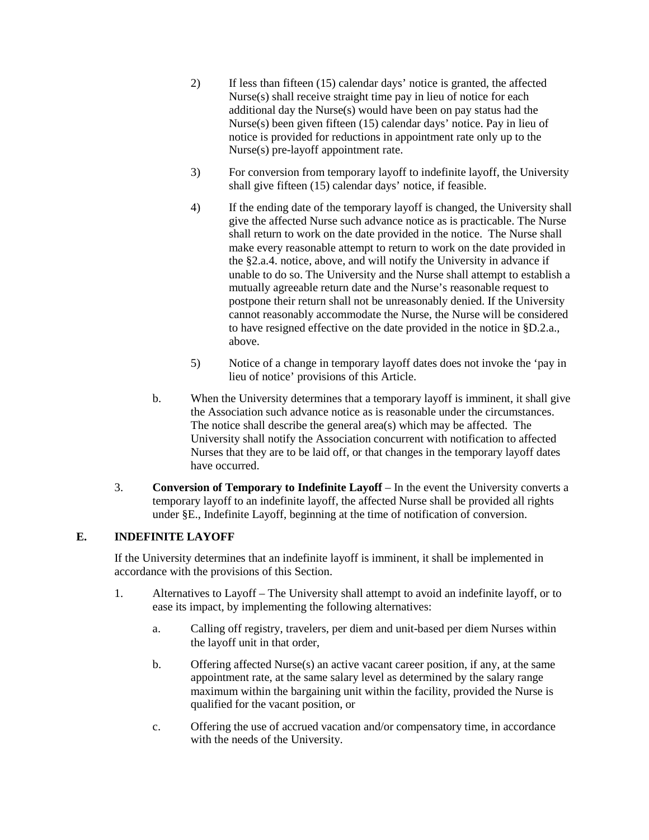- 2) If less than fifteen (15) calendar days' notice is granted, the affected Nurse(s) shall receive straight time pay in lieu of notice for each additional day the Nurse(s) would have been on pay status had the Nurse(s) been given fifteen (15) calendar days' notice. Pay in lieu of notice is provided for reductions in appointment rate only up to the Nurse(s) pre-layoff appointment rate.
- 3) For conversion from temporary layoff to indefinite layoff, the University shall give fifteen (15) calendar days' notice, if feasible.
- 4) If the ending date of the temporary layoff is changed, the University shall give the affected Nurse such advance notice as is practicable. The Nurse shall return to work on the date provided in the notice. The Nurse shall make every reasonable attempt to return to work on the date provided in the §2.a.4. notice, above, and will notify the University in advance if unable to do so. The University and the Nurse shall attempt to establish a mutually agreeable return date and the Nurse's reasonable request to postpone their return shall not be unreasonably denied. If the University cannot reasonably accommodate the Nurse, the Nurse will be considered to have resigned effective on the date provided in the notice in §D.2.a., above.
- 5) Notice of a change in temporary layoff dates does not invoke the 'pay in lieu of notice' provisions of this Article.
- b. When the University determines that a temporary layoff is imminent, it shall give the Association such advance notice as is reasonable under the circumstances. The notice shall describe the general area(s) which may be affected. The University shall notify the Association concurrent with notification to affected Nurses that they are to be laid off, or that changes in the temporary layoff dates have occurred.
- 3. **Conversion of Temporary to Indefinite Layoff** In the event the University converts a temporary layoff to an indefinite layoff, the affected Nurse shall be provided all rights under §E., Indefinite Layoff, beginning at the time of notification of conversion.

# **E. INDEFINITE LAYOFF**

If the University determines that an indefinite layoff is imminent, it shall be implemented in accordance with the provisions of this Section.

- 1. Alternatives to Layoff The University shall attempt to avoid an indefinite layoff, or to ease its impact, by implementing the following alternatives:
	- a. Calling off registry, travelers, per diem and unit-based per diem Nurses within the layoff unit in that order,
	- b. Offering affected Nurse(s) an active vacant career position, if any, at the same appointment rate, at the same salary level as determined by the salary range maximum within the bargaining unit within the facility, provided the Nurse is qualified for the vacant position, or
	- c. Offering the use of accrued vacation and/or compensatory time, in accordance with the needs of the University.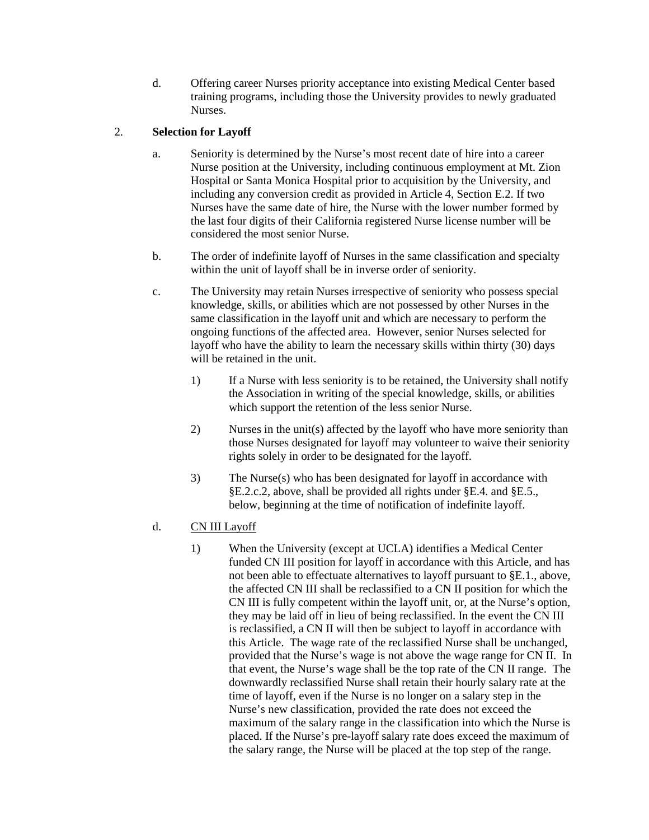d. Offering career Nurses priority acceptance into existing Medical Center based training programs, including those the University provides to newly graduated Nurses.

# 2. **Selection for Layoff**

- a. Seniority is determined by the Nurse's most recent date of hire into a career Nurse position at the University, including continuous employment at Mt. Zion Hospital or Santa Monica Hospital prior to acquisition by the University, and including any conversion credit as provided in Article 4, Section E.2. If two Nurses have the same date of hire, the Nurse with the lower number formed by the last four digits of their California registered Nurse license number will be considered the most senior Nurse.
- b. The order of indefinite layoff of Nurses in the same classification and specialty within the unit of layoff shall be in inverse order of seniority.
- c. The University may retain Nurses irrespective of seniority who possess special knowledge, skills, or abilities which are not possessed by other Nurses in the same classification in the layoff unit and which are necessary to perform the ongoing functions of the affected area. However, senior Nurses selected for layoff who have the ability to learn the necessary skills within thirty (30) days will be retained in the unit.
	- 1) If a Nurse with less seniority is to be retained, the University shall notify the Association in writing of the special knowledge, skills, or abilities which support the retention of the less senior Nurse.
	- 2) Nurses in the unit(s) affected by the layoff who have more seniority than those Nurses designated for layoff may volunteer to waive their seniority rights solely in order to be designated for the layoff.
	- 3) The Nurse(s) who has been designated for layoff in accordance with §E.2.c.2, above, shall be provided all rights under §E.4. and §E.5., below, beginning at the time of notification of indefinite layoff.
- d. CN III Layoff
	- 1) When the University (except at UCLA) identifies a Medical Center funded CN III position for layoff in accordance with this Article, and has not been able to effectuate alternatives to layoff pursuant to §E.1., above, the affected CN III shall be reclassified to a CN II position for which the CN III is fully competent within the layoff unit, or, at the Nurse's option, they may be laid off in lieu of being reclassified. In the event the CN III is reclassified, a CN II will then be subject to layoff in accordance with this Article. The wage rate of the reclassified Nurse shall be unchanged, provided that the Nurse's wage is not above the wage range for CN II. In that event, the Nurse's wage shall be the top rate of the CN II range. The downwardly reclassified Nurse shall retain their hourly salary rate at the time of layoff, even if the Nurse is no longer on a salary step in the Nurse's new classification, provided the rate does not exceed the maximum of the salary range in the classification into which the Nurse is placed. If the Nurse's pre-layoff salary rate does exceed the maximum of the salary range, the Nurse will be placed at the top step of the range.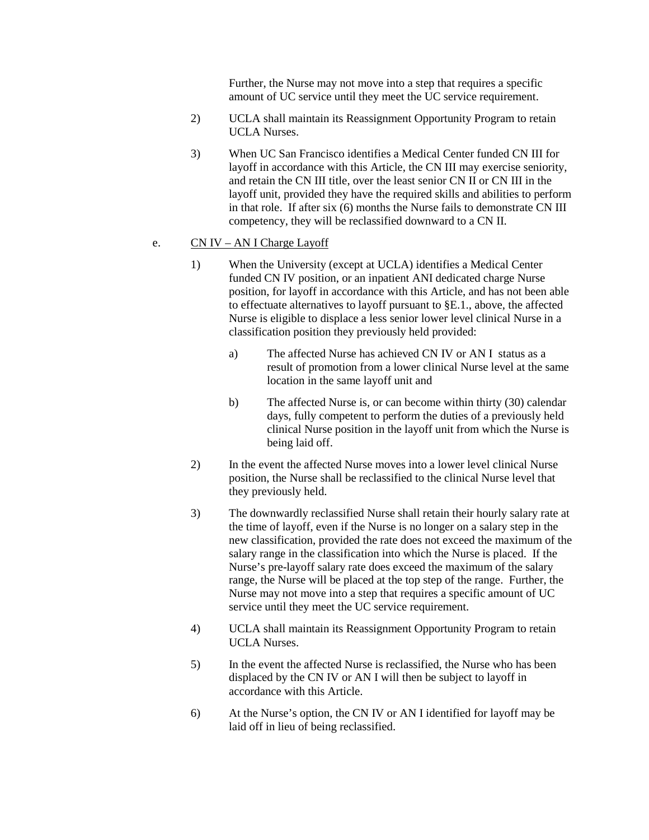Further, the Nurse may not move into a step that requires a specific amount of UC service until they meet the UC service requirement.

- 2) UCLA shall maintain its Reassignment Opportunity Program to retain UCLA Nurses.
- 3) When UC San Francisco identifies a Medical Center funded CN III for layoff in accordance with this Article, the CN III may exercise seniority, and retain the CN III title, over the least senior CN II or CN III in the layoff unit, provided they have the required skills and abilities to perform in that role. If after six (6) months the Nurse fails to demonstrate CN III competency, they will be reclassified downward to a CN II.

#### e. CN IV – AN I Charge Layoff

- 1) When the University (except at UCLA) identifies a Medical Center funded CN IV position, or an inpatient ANI dedicated charge Nurse position, for layoff in accordance with this Article, and has not been able to effectuate alternatives to layoff pursuant to §E.1., above, the affected Nurse is eligible to displace a less senior lower level clinical Nurse in a classification position they previously held provided:
	- a) The affected Nurse has achieved CN IV or AN I status as a result of promotion from a lower clinical Nurse level at the same location in the same layoff unit and
	- b) The affected Nurse is, or can become within thirty (30) calendar days, fully competent to perform the duties of a previously held clinical Nurse position in the layoff unit from which the Nurse is being laid off.
- 2) In the event the affected Nurse moves into a lower level clinical Nurse position, the Nurse shall be reclassified to the clinical Nurse level that they previously held.
- 3) The downwardly reclassified Nurse shall retain their hourly salary rate at the time of layoff, even if the Nurse is no longer on a salary step in the new classification, provided the rate does not exceed the maximum of the salary range in the classification into which the Nurse is placed. If the Nurse's pre-layoff salary rate does exceed the maximum of the salary range, the Nurse will be placed at the top step of the range. Further, the Nurse may not move into a step that requires a specific amount of UC service until they meet the UC service requirement.
- 4) UCLA shall maintain its Reassignment Opportunity Program to retain UCLA Nurses.
- 5) In the event the affected Nurse is reclassified, the Nurse who has been displaced by the CN IV or AN I will then be subject to layoff in accordance with this Article.
- 6) At the Nurse's option, the CN IV or AN I identified for layoff may be laid off in lieu of being reclassified.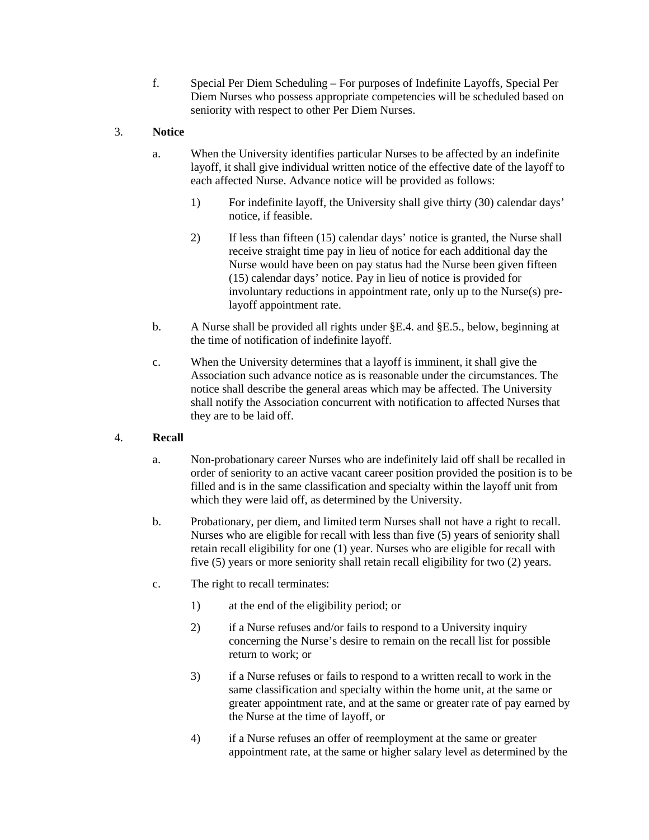f. Special Per Diem Scheduling – For purposes of Indefinite Layoffs, Special Per Diem Nurses who possess appropriate competencies will be scheduled based on seniority with respect to other Per Diem Nurses.

### 3. **Notice**

- a. When the University identifies particular Nurses to be affected by an indefinite layoff, it shall give individual written notice of the effective date of the layoff to each affected Nurse. Advance notice will be provided as follows:
	- 1) For indefinite layoff, the University shall give thirty (30) calendar days' notice, if feasible.
	- 2) If less than fifteen (15) calendar days' notice is granted, the Nurse shall receive straight time pay in lieu of notice for each additional day the Nurse would have been on pay status had the Nurse been given fifteen (15) calendar days' notice. Pay in lieu of notice is provided for involuntary reductions in appointment rate, only up to the Nurse(s) prelayoff appointment rate.
- b. A Nurse shall be provided all rights under §E.4. and §E.5., below, beginning at the time of notification of indefinite layoff.
- c. When the University determines that a layoff is imminent, it shall give the Association such advance notice as is reasonable under the circumstances. The notice shall describe the general areas which may be affected. The University shall notify the Association concurrent with notification to affected Nurses that they are to be laid off.

#### 4. **Recall**

- a. Non-probationary career Nurses who are indefinitely laid off shall be recalled in order of seniority to an active vacant career position provided the position is to be filled and is in the same classification and specialty within the layoff unit from which they were laid off, as determined by the University.
- b. Probationary, per diem, and limited term Nurses shall not have a right to recall. Nurses who are eligible for recall with less than five (5) years of seniority shall retain recall eligibility for one (1) year. Nurses who are eligible for recall with five (5) years or more seniority shall retain recall eligibility for two (2) years.
- c. The right to recall terminates:
	- 1) at the end of the eligibility period; or
	- 2) if a Nurse refuses and/or fails to respond to a University inquiry concerning the Nurse's desire to remain on the recall list for possible return to work; or
	- 3) if a Nurse refuses or fails to respond to a written recall to work in the same classification and specialty within the home unit, at the same or greater appointment rate, and at the same or greater rate of pay earned by the Nurse at the time of layoff, or
	- 4) if a Nurse refuses an offer of reemployment at the same or greater appointment rate, at the same or higher salary level as determined by the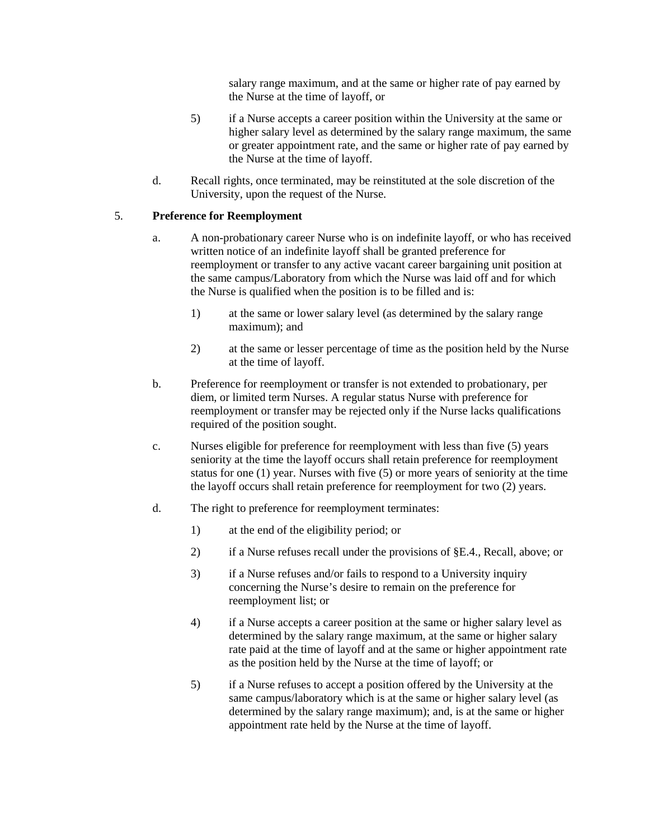salary range maximum, and at the same or higher rate of pay earned by the Nurse at the time of layoff, or

- 5) if a Nurse accepts a career position within the University at the same or higher salary level as determined by the salary range maximum, the same or greater appointment rate, and the same or higher rate of pay earned by the Nurse at the time of layoff.
- d. Recall rights, once terminated, may be reinstituted at the sole discretion of the University, upon the request of the Nurse.

### 5. **Preference for Reemployment**

- a. A non-probationary career Nurse who is on indefinite layoff, or who has received written notice of an indefinite layoff shall be granted preference for reemployment or transfer to any active vacant career bargaining unit position at the same campus/Laboratory from which the Nurse was laid off and for which the Nurse is qualified when the position is to be filled and is:
	- 1) at the same or lower salary level (as determined by the salary range maximum); and
	- 2) at the same or lesser percentage of time as the position held by the Nurse at the time of layoff.
- b. Preference for reemployment or transfer is not extended to probationary, per diem, or limited term Nurses. A regular status Nurse with preference for reemployment or transfer may be rejected only if the Nurse lacks qualifications required of the position sought.
- c. Nurses eligible for preference for reemployment with less than five (5) years seniority at the time the layoff occurs shall retain preference for reemployment status for one (1) year. Nurses with five (5) or more years of seniority at the time the layoff occurs shall retain preference for reemployment for two (2) years.
- d. The right to preference for reemployment terminates:
	- 1) at the end of the eligibility period; or
	- 2) if a Nurse refuses recall under the provisions of §E.4., Recall, above; or
	- 3) if a Nurse refuses and/or fails to respond to a University inquiry concerning the Nurse's desire to remain on the preference for reemployment list; or
	- 4) if a Nurse accepts a career position at the same or higher salary level as determined by the salary range maximum, at the same or higher salary rate paid at the time of layoff and at the same or higher appointment rate as the position held by the Nurse at the time of layoff; or
	- 5) if a Nurse refuses to accept a position offered by the University at the same campus/laboratory which is at the same or higher salary level (as determined by the salary range maximum); and, is at the same or higher appointment rate held by the Nurse at the time of layoff.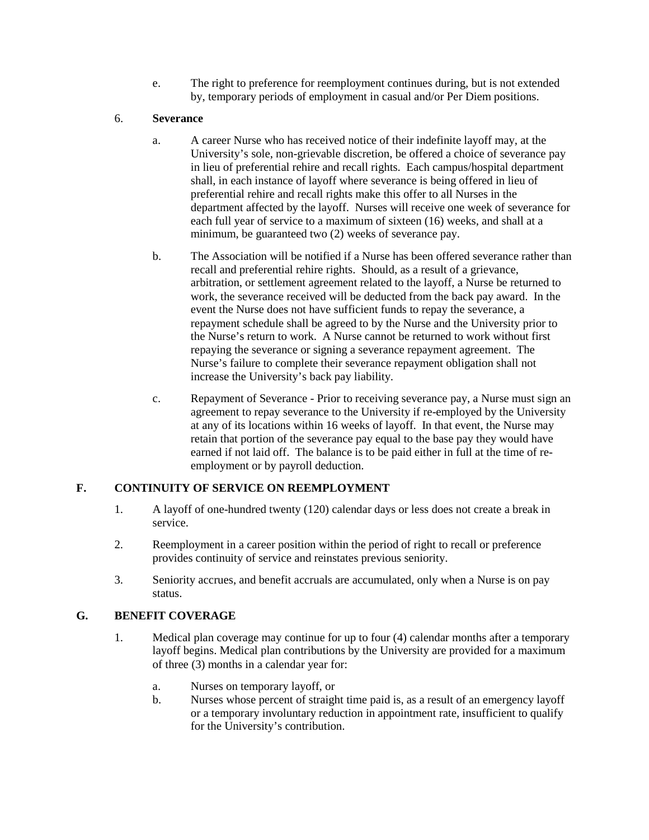e. The right to preference for reemployment continues during, but is not extended by, temporary periods of employment in casual and/or Per Diem positions.

### 6. **Severance**

- a. A career Nurse who has received notice of their indefinite layoff may, at the University's sole, non-grievable discretion, be offered a choice of severance pay in lieu of preferential rehire and recall rights. Each campus/hospital department shall, in each instance of layoff where severance is being offered in lieu of preferential rehire and recall rights make this offer to all Nurses in the department affected by the layoff. Nurses will receive one week of severance for each full year of service to a maximum of sixteen (16) weeks, and shall at a minimum, be guaranteed two (2) weeks of severance pay.
- b. The Association will be notified if a Nurse has been offered severance rather than recall and preferential rehire rights. Should, as a result of a grievance, arbitration, or settlement agreement related to the layoff, a Nurse be returned to work, the severance received will be deducted from the back pay award. In the event the Nurse does not have sufficient funds to repay the severance, a repayment schedule shall be agreed to by the Nurse and the University prior to the Nurse's return to work. A Nurse cannot be returned to work without first repaying the severance or signing a severance repayment agreement. The Nurse's failure to complete their severance repayment obligation shall not increase the University's back pay liability.
- c. Repayment of Severance Prior to receiving severance pay, a Nurse must sign an agreement to repay severance to the University if re-employed by the University at any of its locations within 16 weeks of layoff. In that event, the Nurse may retain that portion of the severance pay equal to the base pay they would have earned if not laid off. The balance is to be paid either in full at the time of reemployment or by payroll deduction.

# **F. CONTINUITY OF SERVICE ON REEMPLOYMENT**

- 1. A layoff of one-hundred twenty (120) calendar days or less does not create a break in service.
- 2. Reemployment in a career position within the period of right to recall or preference provides continuity of service and reinstates previous seniority.
- 3. Seniority accrues, and benefit accruals are accumulated, only when a Nurse is on pay status.

#### **G. BENEFIT COVERAGE**

- 1. Medical plan coverage may continue for up to four (4) calendar months after a temporary layoff begins. Medical plan contributions by the University are provided for a maximum of three (3) months in a calendar year for:
	- a. Nurses on temporary layoff, or
	- b. Nurses whose percent of straight time paid is, as a result of an emergency layoff or a temporary involuntary reduction in appointment rate, insufficient to qualify for the University's contribution.